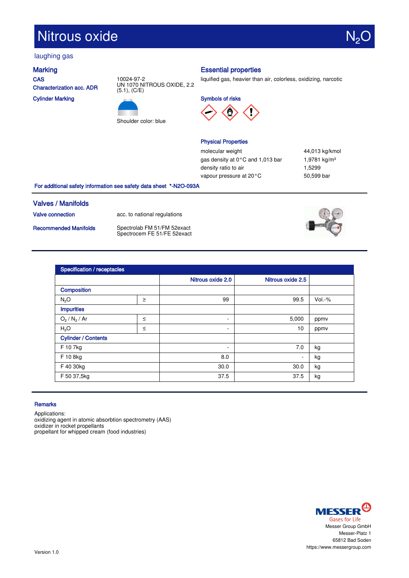# Nitrous oxide

# laughing gas

**CAS** Characterization acc. ADR

Cylinder Marking





# Marking **Essential properties**

liquified gas, heavier than air, colorless, oxidizing, narcotic

Symbols of risks



### Physical Properties

molecular weight  $44,013$  kg/kmol gas density at 0°C and 1,013 bar 1,9781 kg/m<sup>3</sup> density ratio to air 1,5299 vapour pressure at 20°C 50,599 bar

For additional safety information see safety data sheet \*-N2O-093A

# Valves / Manifolds

Valve connection acc. to national regulations

Recommended Manifolds Spectrolab FM 51/FM 52exact Spectrocem FE 51/FE 52exact



| Specification / receptacles |        |                          |                   |          |  |  |
|-----------------------------|--------|--------------------------|-------------------|----------|--|--|
|                             |        | Nitrous oxide 2.0        | Nitrous oxide 2.5 |          |  |  |
| <b>Composition</b>          |        |                          |                   |          |  |  |
| $N_2O$                      | $\geq$ | 99                       | 99.5              | $Vol.-%$ |  |  |
| <b>Impurities</b>           |        |                          |                   |          |  |  |
| $O_2 / N_2 / Ar$            | $\leq$ | $\overline{\phantom{a}}$ | 5,000             | ppmv     |  |  |
| H <sub>2</sub> O            | $\leq$ | $\overline{\phantom{a}}$ | 10                | ppmv     |  |  |
| <b>Cylinder / Contents</b>  |        |                          |                   |          |  |  |
| F 10 7kg                    |        | ٠                        | 7.0               | kg       |  |  |
| F 10 8kg                    |        | 8.0                      | ٠                 | kg       |  |  |
| F 40 30kg                   |        | 30.0                     | 30.0              | kg       |  |  |
| F 50 37,5kg                 |        | 37.5                     | 37.5              | kg       |  |  |

### **Remarks**

Applications:

oxidizing agent in atomic absorbtion spectrometry (AAS) oxidizer in rocket propellants propellant for whipped cream (food industries)